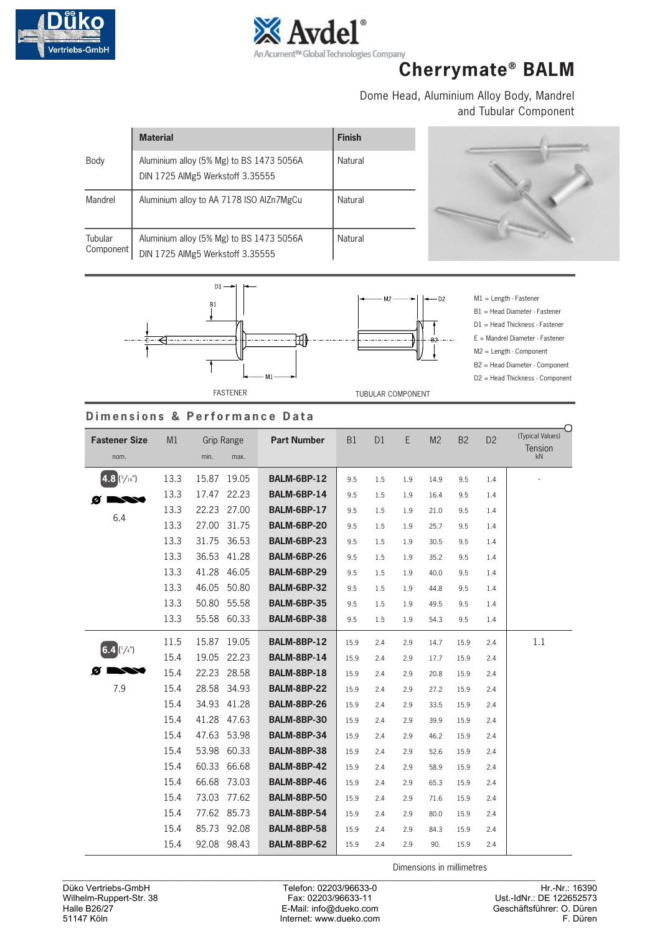



# **Cherrymate® BALM**

Dome Head, Aluminium Alloy Body, Mandrel and Tubular Component

|                      | <b>Material</b>                                                              | <b>Finish</b> |
|----------------------|------------------------------------------------------------------------------|---------------|
| Body                 | Aluminium alloy (5% Mg) to BS 1473 5056A<br>DIN 1725 AIMg5 Werkstoff 3.35555 | Natural       |
| Mandrel              | Aluminium alloy to AA 7178 ISO AIZn7MgCu                                     | Natural       |
| Tubular<br>Component | Aluminium alloy (5% Mg) to BS 1473 5056A<br>DIN 1725 AIMg5 Werkstoff 3.35555 | Natural       |



M1 = Length - Fastener B1 = Head Diameter - Fastener D1 = Head Thickness - Fastener E = Mandrel Diameter - Fastener M2 = Length - Component B2 = Head Diameter - Component D2 = Head Thickness - Component

### **Dimensions & Performance Data**

| <b>Fastener Size</b><br>nom. | M1   | <b>Grip Range</b><br>min.<br>max. | <b>Part Number</b> | B1   | D <sub>1</sub> | E   | M <sub>2</sub> | <b>B2</b> | D <sub>2</sub> | (Typical Values)<br><b>Tension</b><br>kN |
|------------------------------|------|-----------------------------------|--------------------|------|----------------|-----|----------------|-----------|----------------|------------------------------------------|
|                              |      |                                   |                    |      |                |     |                |           |                |                                          |
| $4.8$ ( $^{3}/_{16}$ ")      | 13.3 | 15.87<br>19.05                    | BALM-6BP-12        | 9.5  | 1.5            | 1.9 | 14.9           | 9.5       | 1.4            |                                          |
| Ø                            | 13.3 | 17.47<br>22.23                    | BALM-6BP-14        | 9.5  | 1.5            | 1.9 | 16.4           | 9.5       | 1.4            |                                          |
|                              | 13.3 | 22.23<br>27.00                    | BALM-6BP-17        | 9.5  | 1.5            | 1.9 | 21.0           | 9.5       | 1.4            |                                          |
| 6.4                          | 13.3 | 27.00<br>31.75                    | BALM-6BP-20        | 9.5  | 1.5            | 1.9 | 25.7           | 9.5       | 1.4            |                                          |
|                              | 13.3 | 31.75<br>36.53                    | <b>BALM-6BP-23</b> | 9.5  | 1.5            | 1.9 | 30.5           | 9.5       | 1.4            |                                          |
|                              | 13.3 | 36.53<br>41.28                    | BALM-6BP-26        | 9.5  | 1.5            | 1.9 | 35.2           | 9.5       | 1.4            |                                          |
|                              | 13.3 | 41.28<br>46.05                    | BALM-6BP-29        | 9.5  | 1.5            | 1.9 | 40.0           | 9.5       | 1.4            |                                          |
|                              | 13.3 | 46.05<br>50.80                    | <b>BALM-6BP-32</b> | 9.5  | 1.5            | 1.9 | 44.8           | 9.5       | 1.4            |                                          |
|                              | 13.3 | 50.80<br>55.58                    | <b>BALM-6BP-35</b> | 9.5  | 1.5            | 1.9 | 49.5           | 9.5       | 1.4            |                                          |
|                              | 13.3 | 55.58<br>60.33                    | BALM-6BP-38        | 9.5  | 1.5            | 1.9 | 54.3           | 9.5       | 1.4            |                                          |
|                              | 11.5 | 15.87<br>19.05                    | <b>BALM-8BP-12</b> | 15.9 | 2.4            | 2.9 | 14.7           | 15.9      | 2.4            | 1.1                                      |
| $(6.4)(\frac{1}{4})$         | 15.4 | 19.05<br>22.23                    | <b>BALM-8BP-14</b> | 15.9 | 2.4            | 2.9 | 17.7           | 15.9      | 2.4            |                                          |
|                              | 15.4 | 22.23<br>28.58                    | BALM-8BP-18        | 15.9 | 2.4            | 2.9 | 20.8           | 15.9      | 2.4            |                                          |
| 7.9                          | 15.4 | 28.58<br>34.93                    | <b>BALM-8BP-22</b> | 15.9 | 2.4            | 2.9 | 27.2           | 15.9      | 2.4            |                                          |
|                              | 15.4 | 34.93<br>41.28                    | BALM-8BP-26        | 15.9 | 2.4            | 2.9 | 33.5           | 15.9      | 2.4            |                                          |
|                              | 15.4 | 41.28<br>47.63                    | BALM-8BP-30        | 15.9 | 2.4            | 2.9 | 39.9           | 15.9      | 2.4            |                                          |
|                              | 15.4 | 47.63<br>53.98                    | <b>BALM-8BP-34</b> | 15.9 | 2.4            | 2.9 | 46.2           | 15.9      | 2.4            |                                          |
|                              | 15.4 | 53.98<br>60.33                    | <b>BALM-8BP-38</b> | 15.9 | 2.4            | 2.9 | 52.6           | 15.9      | 2.4            |                                          |
|                              | 15.4 | 60.33<br>66.68                    | BALM-8BP-42        | 15.9 | 2.4            | 2.9 | 58.9           | 15.9      | 2.4            |                                          |
|                              | 15.4 | 66.68<br>73.03                    | <b>BALM-8BP-46</b> | 15.9 | 2.4            | 2.9 | 65.3           | 15.9      | 2.4            |                                          |
|                              | 15.4 | 73.03 77.62                       | BALM-8BP-50        | 15.9 | 2.4            | 2.9 | 71.6           | 15.9      | 2.4            |                                          |
|                              | 15.4 | 77.62 85.73                       | <b>BALM-8BP-54</b> | 15.9 | 2.4            | 2.9 | 80.0           | 15.9      | 2.4            |                                          |
|                              | 15.4 | 85.73<br>92.08                    | <b>BALM-8BP-58</b> | 15.9 | 2.4            | 2.9 | 84.3           | 15.9      | 2.4            |                                          |
|                              | 15.4 | 92.08 98.43                       | BALM-8BP-62        | 15.9 | 2.4            | 2.9 | 90.            | 15.9      | 2.4            |                                          |
|                              |      |                                   |                    |      |                |     |                |           |                |                                          |

Dimensions in millimetres \_\_\_\_\_\_\_\_\_\_\_\_\_\_\_\_\_\_\_\_\_\_\_\_\_\_\_\_\_\_\_\_\_\_\_\_\_\_\_\_\_\_\_\_\_\_\_\_\_\_\_\_\_\_\_\_\_\_\_\_\_\_\_\_\_\_\_\_\_\_\_\_\_\_\_\_\_\_\_\_\_\_\_\_\_\_\_\_\_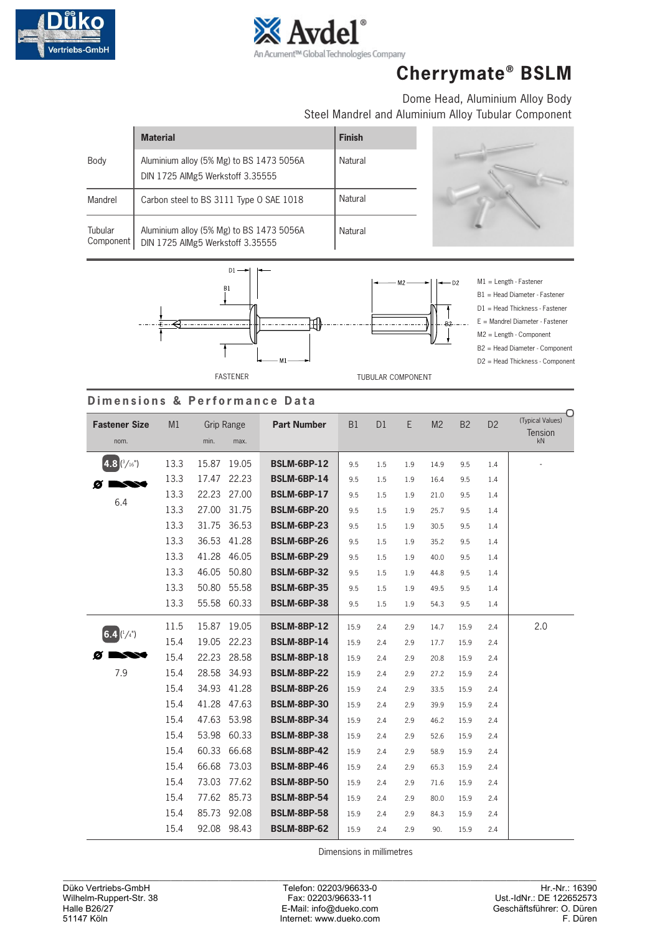



# **Cherrymate® BSLM**

Dome Head, Aluminium Alloy Body Steel Mandrel and Aluminium Alloy Tubular Component

|                      | <b>Material</b>                                                              | <b>Finish</b> |
|----------------------|------------------------------------------------------------------------------|---------------|
| Body                 | Aluminium alloy (5% Mg) to BS 1473 5056A<br>DIN 1725 AIMg5 Werkstoff 3.35555 | Natural       |
| Mandrel              | Carbon steel to BS 3111 Type O SAE 1018                                      | Natural       |
| Tubular<br>Component | Aluminium alloy (5% Mg) to BS 1473 5056A<br>DIN 1725 AIMg5 Werkstoff 3.35555 | Natural       |





M1 = Length - Fastener B1 = Head Diameter - Fastener D1 = Head Thickness - Fastener E = Mandrel Diameter - Fastener M2 = Length - Component





### **Dimensions & Performance Data**

| <b>Fastener Size</b><br>nom. | M1   | min.  | <b>Grip Range</b><br>max. | <b>Part Number</b> | B <sub>1</sub> | D <sub>1</sub> | E.  | M <sub>2</sub> | B <sub>2</sub> | D <sub>2</sub> | (Typical Values)<br><b>Tension</b><br>kN |
|------------------------------|------|-------|---------------------------|--------------------|----------------|----------------|-----|----------------|----------------|----------------|------------------------------------------|
| $4.8$ $(3/16)$               | 13.3 | 15.87 | 19.05                     | <b>BSLM-6BP-12</b> | 9.5            | 1.5            | 1.9 | 14.9           | 9.5            | 1.4            |                                          |
|                              | 13.3 | 17.47 | 22.23                     | <b>BSLM-6BP-14</b> | 9.5            | 1.5            | 1.9 | 16.4           | 9.5            | 1.4            |                                          |
| Ø                            | 13.3 | 22.23 | 27.00                     | <b>BSLM-6BP-17</b> | 9.5            | 1.5            | 1.9 | 21.0           | 9.5            | 1.4            |                                          |
| 6.4                          | 13.3 | 27.00 | 31.75                     | <b>BSLM-6BP-20</b> | 9.5            | 1.5            | 1.9 | 25.7           | 9.5            | 1.4            |                                          |
|                              | 13.3 | 31.75 | 36.53                     | <b>BSLM-6BP-23</b> | 9.5            | 1.5            | 1.9 | 30.5           | 9.5            | 1.4            |                                          |
|                              | 13.3 | 36.53 | 41.28                     | <b>BSLM-6BP-26</b> | 9.5            | 1.5            | 1.9 | 35.2           | 9.5            | 1.4            |                                          |
|                              | 13.3 | 41.28 | 46.05                     | <b>BSLM-6BP-29</b> | 9.5            | 1.5            | 1.9 | 40.0           | 9.5            | 1.4            |                                          |
|                              | 13.3 | 46.05 | 50.80                     | <b>BSLM-6BP-32</b> | 9.5            | 1.5            | 1.9 | 44.8           | 9.5            | 1.4            |                                          |
|                              | 13.3 | 50.80 | 55.58                     | <b>BSLM-6BP-35</b> | 9.5            | 1.5            | 1.9 | 49.5           | 9.5            | 1.4            |                                          |
|                              | 13.3 | 55.58 | 60.33                     | <b>BSLM-6BP-38</b> | 9.5            | 1.5            | 1.9 | 54.3           | 9.5            | 1.4            |                                          |
|                              | 11.5 | 15.87 | 19.05                     | <b>BSLM-8BP-12</b> | 15.9           | 2.4            | 2.9 | 14.7           | 15.9           | 2.4            | 2.0                                      |
| 6.4 $(1/4)$                  | 15.4 | 19.05 | 22.23                     | <b>BSLM-8BP-14</b> | 15.9           | 2.4            | 2.9 | 17.7           | 15.9           | 2.4            |                                          |
| ø                            | 15.4 | 22.23 | 28.58                     | <b>BSLM-8BP-18</b> | 15.9           | 2.4            | 2.9 | 20.8           | 15.9           | 2.4            |                                          |
| 7.9                          | 15.4 | 28.58 | 34.93                     | <b>BSLM-8BP-22</b> | 15.9           | 2.4            | 2.9 | 27.2           | 15.9           | 2.4            |                                          |
|                              | 15.4 | 34.93 | 41.28                     | <b>BSLM-8BP-26</b> | 15.9           | 2.4            | 2.9 | 33.5           | 15.9           | 2.4            |                                          |
|                              | 15.4 | 41.28 | 47.63                     | <b>BSLM-8BP-30</b> | 15.9           | 2.4            | 2.9 | 39.9           | 15.9           | 2.4            |                                          |
|                              | 15.4 | 47.63 | 53.98                     | <b>BSLM-8BP-34</b> | 15.9           | 2.4            | 2.9 | 46.2           | 15.9           | 2.4            |                                          |
|                              | 15.4 | 53.98 | 60.33                     | <b>BSLM-8BP-38</b> | 15.9           | 2.4            | 2.9 | 52.6           | 15.9           | 2.4            |                                          |
|                              | 15.4 | 60.33 | 66.68                     | <b>BSLM-8BP-42</b> | 15.9           | 2.4            | 2.9 | 58.9           | 15.9           | 2.4            |                                          |
|                              | 15.4 | 66.68 | 73.03                     | <b>BSLM-8BP-46</b> | 15.9           | 2.4            | 2.9 | 65.3           | 15.9           | 2.4            |                                          |
|                              | 15.4 | 73.03 | 77.62                     | <b>BSLM-8BP-50</b> | 15.9           | 2.4            | 2.9 | 71.6           | 15.9           | 2.4            |                                          |
|                              | 15.4 |       | 77.62 85.73               | <b>BSLM-8BP-54</b> | 15.9           | 2.4            | 2.9 | 80.0           | 15.9           | 2.4            |                                          |
|                              | 15.4 | 85.73 | 92.08                     | <b>BSLM-8BP-58</b> | 15.9           | 2.4            | 2.9 | 84.3           | 15.9           | 2.4            |                                          |
|                              | 15.4 |       | 92.08 98.43               | <b>BSLM-8BP-62</b> | 15.9           | 2.4            | 2.9 | 90.            | 15.9           | 2.4            |                                          |

Dimensions in millimetres